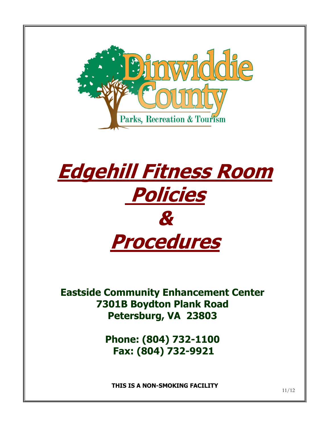



**Eastside Community Enhancement Center 7301B Boydton Plank Road Petersburg, VA 23803**

> **Phone: (804) 732-1100 Fax: (804) 732-9921**

**THIS IS A NON-SMOKING FACILITY**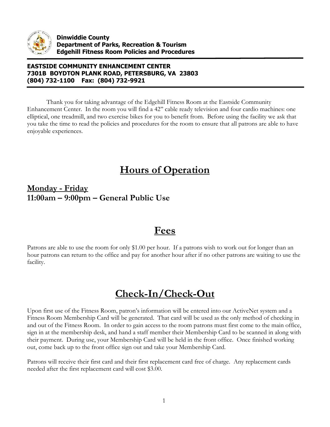

#### **EASTSIDE COMMUNITY ENHANCEMENT CENTER 7301B BOYDTON PLANK ROAD, PETERSBURG, VA 23803 (804) 732-1100 Fax: (804) 732-9921**

Thank you for taking advantage of the Edgehill Fitness Room at the Eastside Community Enhancement Center. In the room you will find a 42'' cable ready television and four cardio machines: one elliptical, one treadmill, and two exercise bikes for you to benefit from. Before using the facility we ask that you take the time to read the policies and procedures for the room to ensure that all patrons are able to have enjoyable experiences.

### **Hours of Operation**

#### **Monday - Friday 11:00am – 9:00pm – General Public Use**

#### **Fees**

Patrons are able to use the room for only \$1.00 per hour. If a patrons wish to work out for longer than an hour patrons can return to the office and pay for another hour after if no other patrons are waiting to use the facility.

## **Check-In/Check-Out**

Upon first use of the Fitness Room, patron's information will be entered into our ActiveNet system and a Fitness Room Membership Card will be generated. That card will be used as the only method of checking in and out of the Fitness Room. In order to gain access to the room patrons must first come to the main office, sign in at the membership desk, and hand a staff member their Membership Card to be scanned in along with their payment. During use, your Membership Card will be held in the front office. Once finished working out, come back up to the front office sign out and take your Membership Card.

Patrons will receive their first card and their first replacement card free of charge. Any replacement cards needed after the first replacement card will cost \$3.00.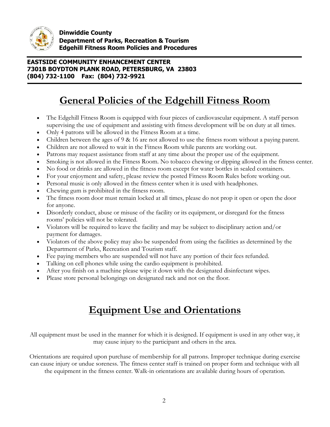

**Dinwiddie County Department of Parks, Recreation & Tourism Edgehill Fitness Room Policies and Procedures** 

#### **EASTSIDE COMMUNITY ENHANCEMENT CENTER 7301B BOYDTON PLANK ROAD, PETERSBURG, VA 23803 (804) 732-1100 Fax: (804) 732-9921**

## **General Policies of the Edgehill Fitness Room**

- The Edgehill Fitness Room is equipped with four pieces of cardiovascular equipment. A staff person supervising the use of equipment and assisting with fitness development will be on duty at all times.
- Only 4 patrons will be allowed in the Fitness Room at a time.
- Children between the ages of 9 & 16 are not allowed to use the fitness room without a paying parent.
- Children are not allowed to wait in the Fitness Room while parents are working out.
- Patrons may request assistance from staff at any time about the proper use of the equipment.
- Smoking is not allowed in the Fitness Room. No tobacco chewing or dipping allowed in the fitness center.
- No food or drinks are allowed in the fitness room except for water bottles in sealed containers.
- For your enjoyment and safety, please review the posted Fitness Room Rules before working out.
- Personal music is only allowed in the fitness center when it is used with headphones.
- Chewing gum is prohibited in the fitness room.
- The fitness room door must remain locked at all times, please do not prop it open or open the door for anyone.
- Disorderly conduct, abuse or misuse of the facility or its equipment, or disregard for the fitness rooms' policies will not be tolerated.
- Violators will be required to leave the facility and may be subject to disciplinary action and/or payment for damages.
- Violators of the above policy may also be suspended from using the facilities as determined by the Department of Parks, Recreation and Tourism staff.
- Fee paying members who are suspended will not have any portion of their fees refunded.
- Talking on cell phones while using the cardio equipment is prohibited.
- After you finish on a machine please wipe it down with the designated disinfectant wipes.
- Please store personal belongings on designated rack and not on the floor.

# **Equipment Use and Orientations**

All equipment must be used in the manner for which it is designed. If equipment is used in any other way, it may cause injury to the participant and others in the area.

Orientations are required upon purchase of membership for all patrons. Improper technique during exercise can cause injury or undue soreness. The fitness center staff is trained on proper form and technique with all the equipment in the fitness center. Walk-in orientations are available during hours of operation.